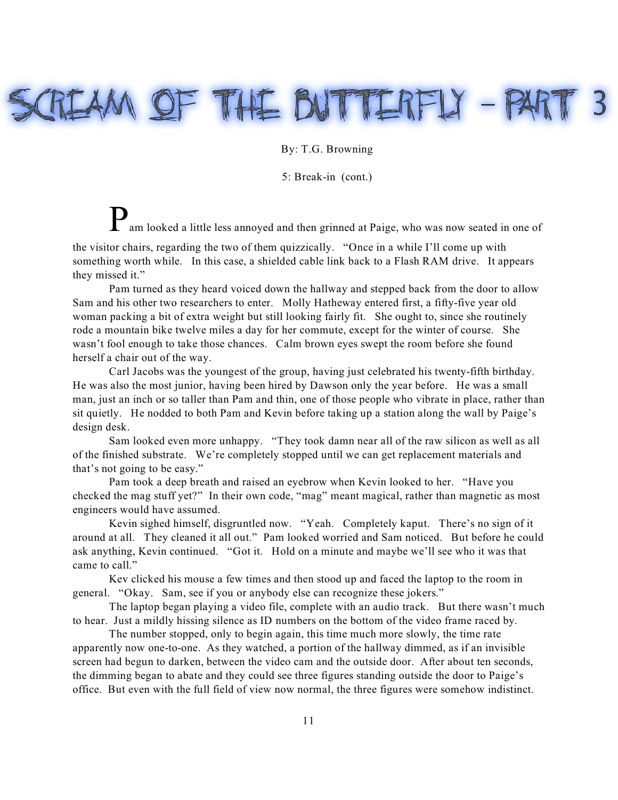## REAM OF THE BUTTERFLY - PAI

## By: T.G. Browning

5: Break-in (cont.)

Pam looked a little less annoyed and then grinned at Paige, who was now seated in one of the visitor chairs, regarding the two of them quizzically. "Once in a while I'll come up with

something worth while. In this case, a shielded cable link back to a Flash RAM drive. It appears they missed it."

Pam turned as they heard voiced down the hallway and stepped back from the door to allow Sam and his other two researchers to enter. Molly Hatheway entered first, a fifty-five year old woman packing a bit of extra weight but still looking fairly fit. She ought to, since she routinely rode a mountain bike twelve miles a day for her commute, except for the winter of course. She wasn't fool enough to take those chances. Calm brown eyes swept the room before she found herself a chair out of the way.

Carl Jacobs was the youngest of the group, having just celebrated his twenty-fifth birthday. He was also the most junior, having been hired by Dawson only the year before. He was a small man, just an inch or so taller than Pam and thin, one of those people who vibrate in place, rather than sit quietly. He nodded to both Pam and Kevin before taking up a station along the wall by Paige's design desk.

Sam looked even more unhappy. "They took damn near all of the raw silicon as well as all of the finished substrate. We're completely stopped until we can get replacement materials and that's not going to be easy."

Pam took a deep breath and raised an eyebrow when Kevin looked to her. "Have you checked the mag stuff yet?" In their own code, "mag" meant magical, rather than magnetic as most engineers would have assumed.

Kevin sighed himself, disgruntled now. "Yeah. Completely kaput. There's no sign of it around at all. They cleaned it all out." Pam looked worried and Sam noticed. But before he could ask anything, Kevin continued. "Got it. Hold on a minute and maybe we'll see who it was that came to call."

Kev clicked his mouse a few times and then stood up and faced the laptop to the room in general. "Okay. Sam, see if you or anybody else can recognize these jokers."

The laptop began playing a video file, complete with an audio track. But there wasn't much to hear. Just a mildly hissing silence as ID numbers on the bottom of the video frame raced by.

The number stopped, only to begin again, this time much more slowly, the time rate apparently now one-to-one. As they watched, a portion of the hallway dimmed, as if an invisible screen had begun to darken, between the video cam and the outside door. After about ten seconds, the dimming began to abate and they could see three figures standing outside the door to Paige's office. But even with the full field of view now normal, the three figures were somehow indistinct.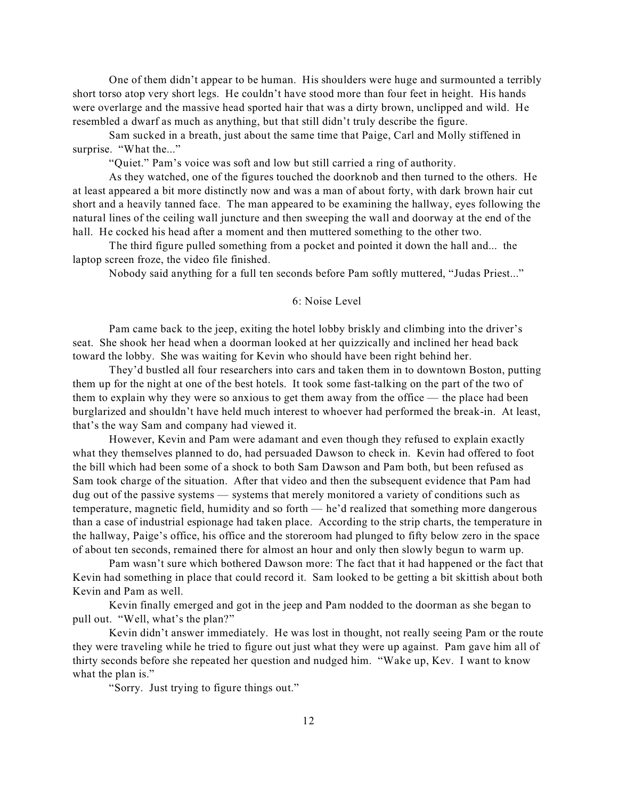One of them didn't appear to be human. His shoulders were huge and surmounted a terribly short torso atop very short legs. He couldn't have stood more than four feet in height. His hands were overlarge and the massive head sported hair that was a dirty brown, unclipped and wild. He resembled a dwarf as much as anything, but that still didn't truly describe the figure.

Sam sucked in a breath, just about the same time that Paige, Carl and Molly stiffened in surprise. "What the..."

"Quiet." Pam's voice was soft and low but still carried a ring of authority.

As they watched, one of the figures touched the doorknob and then turned to the others. He at least appeared a bit more distinctly now and was a man of about forty, with dark brown hair cut short and a heavily tanned face. The man appeared to be examining the hallway, eyes following the natural lines of the ceiling wall juncture and then sweeping the wall and doorway at the end of the hall. He cocked his head after a moment and then muttered something to the other two.

The third figure pulled something from a pocket and pointed it down the hall and... the laptop screen froze, the video file finished.

Nobody said anything for a full ten seconds before Pam softly muttered, "Judas Priest..."

## 6: Noise Level

Pam came back to the jeep, exiting the hotel lobby briskly and climbing into the driver's seat. She shook her head when a doorman looked at her quizzically and inclined her head back toward the lobby. She was waiting for Kevin who should have been right behind her.

They'd bustled all four researchers into cars and taken them in to downtown Boston, putting them up for the night at one of the best hotels. It took some fast-talking on the part of the two of them to explain why they were so anxious to get them away from the office — the place had been burglarized and shouldn't have held much interest to whoever had performed the break-in. At least, that's the way Sam and company had viewed it.

However, Kevin and Pam were adamant and even though they refused to explain exactly what they themselves planned to do, had persuaded Dawson to check in. Kevin had offered to foot the bill which had been some of a shock to both Sam Dawson and Pam both, but been refused as Sam took charge of the situation. After that video and then the subsequent evidence that Pam had dug out of the passive systems — systems that merely monitored a variety of conditions such as temperature, magnetic field, humidity and so forth — he'd realized that something more dangerous than a case of industrial espionage had taken place. According to the strip charts, the temperature in the hallway, Paige's office, his office and the storeroom had plunged to fifty below zero in the space of about ten seconds, remained there for almost an hour and only then slowly begun to warm up.

Pam wasn't sure which bothered Dawson more: The fact that it had happened or the fact that Kevin had something in place that could record it. Sam looked to be getting a bit skittish about both Kevin and Pam as well.

Kevin finally emerged and got in the jeep and Pam nodded to the doorman as she began to pull out. "Well, what's the plan?"

Kevin didn't answer immediately. He was lost in thought, not really seeing Pam or the route they were traveling while he tried to figure out just what they were up against. Pam gave him all of thirty seconds before she repeated her question and nudged him. "Wake up, Kev. I want to know what the plan is."

"Sorry. Just trying to figure things out."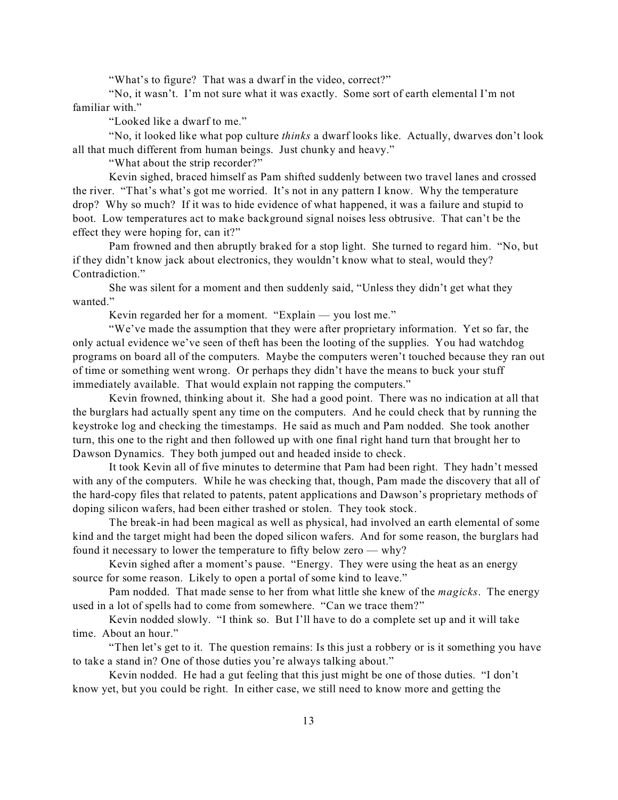"What's to figure? That was a dwarf in the video, correct?"

"No, it wasn't. I'm not sure what it was exactly. Some sort of earth elemental I'm not familiar with."

"Looked like a dwarf to me."

"No, it looked like what pop culture *thinks* a dwarf looks like. Actually, dwarves don't look all that much different from human beings. Just chunky and heavy."

"What about the strip recorder?"

Kevin sighed, braced himself as Pam shifted suddenly between two travel lanes and crossed the river. "That's what's got me worried. It's not in any pattern I know. Why the temperature drop? Why so much? If it was to hide evidence of what happened, it was a failure and stupid to boot. Low temperatures act to make background signal noises less obtrusive. That can't be the effect they were hoping for, can it?"

Pam frowned and then abruptly braked for a stop light. She turned to regard him. "No, but if they didn't know jack about electronics, they wouldn't know what to steal, would they? Contradiction."

She was silent for a moment and then suddenly said, "Unless they didn't get what they wanted."

Kevin regarded her for a moment. "Explain — you lost me."

"We've made the assumption that they were after proprietary information. Yet so far, the only actual evidence we've seen of theft has been the looting of the supplies. You had watchdog programs on board all of the computers. Maybe the computers weren't touched because they ran out of time or something went wrong. Or perhaps they didn't have the means to buck your stuff immediately available. That would explain not rapping the computers."

Kevin frowned, thinking about it. She had a good point. There was no indication at all that the burglars had actually spent any time on the computers. And he could check that by running the keystroke log and checking the timestamps. He said as much and Pam nodded. She took another turn, this one to the right and then followed up with one final right hand turn that brought her to Dawson Dynamics. They both jumped out and headed inside to check.

It took Kevin all of five minutes to determine that Pam had been right. They hadn't messed with any of the computers. While he was checking that, though, Pam made the discovery that all of the hard-copy files that related to patents, patent applications and Dawson's proprietary methods of doping silicon wafers, had been either trashed or stolen. They took stock.

The break-in had been magical as well as physical, had involved an earth elemental of some kind and the target might had been the doped silicon wafers. And for some reason, the burglars had found it necessary to lower the temperature to fifty below zero — why?

Kevin sighed after a moment's pause. "Energy. They were using the heat as an energy source for some reason. Likely to open a portal of some kind to leave."

Pam nodded. That made sense to her from what little she knew of the *magicks*. The energy used in a lot of spells had to come from somewhere. "Can we trace them?"

Kevin nodded slowly. "I think so. But I'll have to do a complete set up and it will take time. About an hour."

"Then let's get to it. The question remains: Is this just a robbery or is it something you have to take a stand in? One of those duties you're always talking about."

Kevin nodded. He had a gut feeling that this just might be one of those duties. "I don't know yet, but you could be right. In either case, we still need to know more and getting the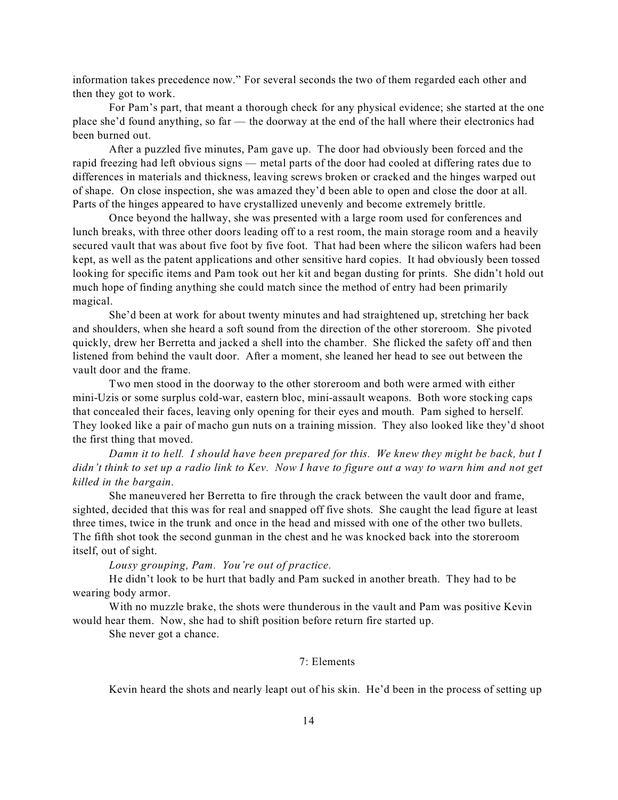information takes precedence now." For several seconds the two of them regarded each other and then they got to work.

For Pam's part, that meant a thorough check for any physical evidence; she started at the one place she'd found anything, so far — the doorway at the end of the hall where their electronics had been burned out.

After a puzzled five minutes, Pam gave up. The door had obviously been forced and the rapid freezing had left obvious signs — metal parts of the door had cooled at differing rates due to differences in materials and thickness, leaving screws broken or cracked and the hinges warped out of shape. On close inspection, she was amazed they'd been able to open and close the door at all. Parts of the hinges appeared to have crystallized unevenly and become extremely brittle.

Once beyond the hallway, she was presented with a large room used for conferences and lunch breaks, with three other doors leading off to a rest room, the main storage room and a heavily secured vault that was about five foot by five foot. That had been where the silicon wafers had been kept, as well as the patent applications and other sensitive hard copies. It had obviously been tossed looking for specific items and Pam took out her kit and began dusting for prints. She didn't hold out much hope of finding anything she could match since the method of entry had been primarily magical.

She'd been at work for about twenty minutes and had straightened up, stretching her back and shoulders, when she heard a soft sound from the direction of the other storeroom. She pivoted quickly, drew her Berretta and jacked a shell into the chamber. She flicked the safety off and then listened from behind the vault door. After a moment, she leaned her head to see out between the vault door and the frame.

Two men stood in the doorway to the other storeroom and both were armed with either mini-Uzis or some surplus cold-war, eastern bloc, mini-assault weapons. Both wore stocking caps that concealed their faces, leaving only opening for their eyes and mouth. Pam sighed to herself. They looked like a pair of macho gun nuts on a training mission. They also looked like they'd shoot the first thing that moved.

*Damn it to hell. I should have been prepared for this. We knew they might be back, but I didn't think to set up a radio link to Kev. Now I have to figure out a way to warn him and not get killed in the bargain.*

She maneuvered her Berretta to fire through the crack between the vault door and frame, sighted, decided that this was for real and snapped off five shots. She caught the lead figure at least three times, twice in the trunk and once in the head and missed with one of the other two bullets. The fifth shot took the second gunman in the chest and he was knocked back into the storeroom itself, out of sight.

*Lousy grouping, Pam. You're out of practice.*

He didn't look to be hurt that badly and Pam sucked in another breath. They had to be wearing body armor.

With no muzzle brake, the shots were thunderous in the vault and Pam was positive Kevin would hear them. Now, she had to shift position before return fire started up.

She never got a chance.

## 7: Elements

Kevin heard the shots and nearly leapt out of his skin. He'd been in the process of setting up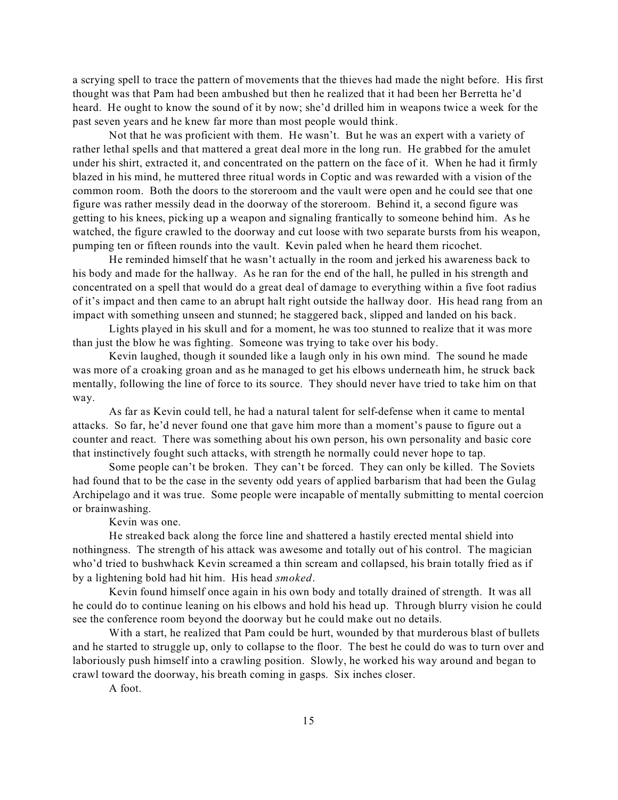a scrying spell to trace the pattern of movements that the thieves had made the night before. His first thought was that Pam had been ambushed but then he realized that it had been her Berretta he'd heard. He ought to know the sound of it by now; she'd drilled him in weapons twice a week for the past seven years and he knew far more than most people would think.

Not that he was proficient with them. He wasn't. But he was an expert with a variety of rather lethal spells and that mattered a great deal more in the long run. He grabbed for the amulet under his shirt, extracted it, and concentrated on the pattern on the face of it. When he had it firmly blazed in his mind, he muttered three ritual words in Coptic and was rewarded with a vision of the common room. Both the doors to the storeroom and the vault were open and he could see that one figure was rather messily dead in the doorway of the storeroom. Behind it, a second figure was getting to his knees, picking up a weapon and signaling frantically to someone behind him. As he watched, the figure crawled to the doorway and cut loose with two separate bursts from his weapon, pumping ten or fifteen rounds into the vault. Kevin paled when he heard them ricochet.

He reminded himself that he wasn't actually in the room and jerked his awareness back to his body and made for the hallway. As he ran for the end of the hall, he pulled in his strength and concentrated on a spell that would do a great deal of damage to everything within a five foot radius of it's impact and then came to an abrupt halt right outside the hallway door. His head rang from an impact with something unseen and stunned; he staggered back, slipped and landed on his back.

Lights played in his skull and for a moment, he was too stunned to realize that it was more than just the blow he was fighting. Someone was trying to take over his body.

Kevin laughed, though it sounded like a laugh only in his own mind. The sound he made was more of a croaking groan and as he managed to get his elbows underneath him, he struck back mentally, following the line of force to its source. They should never have tried to take him on that way.

As far as Kevin could tell, he had a natural talent for self-defense when it came to mental attacks. So far, he'd never found one that gave him more than a moment's pause to figure out a counter and react. There was something about his own person, his own personality and basic core that instinctively fought such attacks, with strength he normally could never hope to tap.

Some people can't be broken. They can't be forced. They can only be killed. The Soviets had found that to be the case in the seventy odd years of applied barbarism that had been the Gulag Archipelago and it was true. Some people were incapable of mentally submitting to mental coercion or brainwashing.

Kevin was one.

He streaked back along the force line and shattered a hastily erected mental shield into nothingness. The strength of his attack was awesome and totally out of his control. The magician who'd tried to bushwhack Kevin screamed a thin scream and collapsed, his brain totally fried as if by a lightening bold had hit him. His head *smoked*.

Kevin found himself once again in his own body and totally drained of strength. It was all he could do to continue leaning on his elbows and hold his head up. Through blurry vision he could see the conference room beyond the doorway but he could make out no details.

With a start, he realized that Pam could be hurt, wounded by that murderous blast of bullets and he started to struggle up, only to collapse to the floor. The best he could do was to turn over and laboriously push himself into a crawling position. Slowly, he worked his way around and began to crawl toward the doorway, his breath coming in gasps. Six inches closer.

A foot.